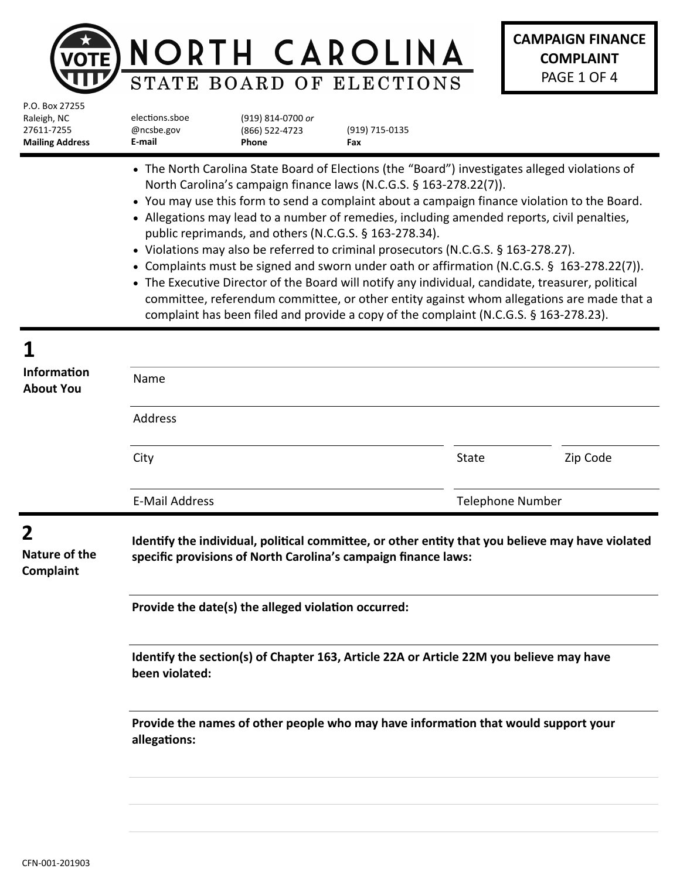|                                                                       |                                                                                                                                                                                                                                                                                                                                                                                                                                                                                                                                                                                                                                                                                                                                                                                                                                                                                                               |                                              | NORTH CAROLINA<br>STATE BOARD OF ELECTIONS |                         | <b>CAMPAIGN FINANCE</b><br><b>COMPLAINT</b><br>PAGE 1 OF 4 |
|-----------------------------------------------------------------------|---------------------------------------------------------------------------------------------------------------------------------------------------------------------------------------------------------------------------------------------------------------------------------------------------------------------------------------------------------------------------------------------------------------------------------------------------------------------------------------------------------------------------------------------------------------------------------------------------------------------------------------------------------------------------------------------------------------------------------------------------------------------------------------------------------------------------------------------------------------------------------------------------------------|----------------------------------------------|--------------------------------------------|-------------------------|------------------------------------------------------------|
| P.O. Box 27255<br>Raleigh, NC<br>27611-7255<br><b>Mailing Address</b> | elections.sboe<br>@ncsbe.gov<br>E-mail                                                                                                                                                                                                                                                                                                                                                                                                                                                                                                                                                                                                                                                                                                                                                                                                                                                                        | (919) 814-0700 or<br>(866) 522-4723<br>Phone | (919) 715-0135<br>Fax                      |                         |                                                            |
|                                                                       | • The North Carolina State Board of Elections (the "Board") investigates alleged violations of<br>North Carolina's campaign finance laws (N.C.G.S. § 163-278.22(7)).<br>• You may use this form to send a complaint about a campaign finance violation to the Board.<br>• Allegations may lead to a number of remedies, including amended reports, civil penalties,<br>public reprimands, and others (N.C.G.S. § 163-278.34).<br>• Violations may also be referred to criminal prosecutors (N.C.G.S. § 163-278.27).<br>• Complaints must be signed and sworn under oath or affirmation (N.C.G.S. § 163-278.22(7)).<br>• The Executive Director of the Board will notify any individual, candidate, treasurer, political<br>committee, referendum committee, or other entity against whom allegations are made that a<br>complaint has been filed and provide a copy of the complaint (N.C.G.S. § 163-278.23). |                                              |                                            |                         |                                                            |
|                                                                       |                                                                                                                                                                                                                                                                                                                                                                                                                                                                                                                                                                                                                                                                                                                                                                                                                                                                                                               |                                              |                                            |                         |                                                            |
| <b>Information</b><br><b>About You</b>                                | Name                                                                                                                                                                                                                                                                                                                                                                                                                                                                                                                                                                                                                                                                                                                                                                                                                                                                                                          |                                              |                                            |                         |                                                            |
|                                                                       | Address                                                                                                                                                                                                                                                                                                                                                                                                                                                                                                                                                                                                                                                                                                                                                                                                                                                                                                       |                                              |                                            |                         |                                                            |
|                                                                       | City                                                                                                                                                                                                                                                                                                                                                                                                                                                                                                                                                                                                                                                                                                                                                                                                                                                                                                          |                                              |                                            | State                   | Zip Code                                                   |
|                                                                       | <b>E-Mail Address</b>                                                                                                                                                                                                                                                                                                                                                                                                                                                                                                                                                                                                                                                                                                                                                                                                                                                                                         |                                              |                                            | <b>Telephone Number</b> |                                                            |
| 2<br>Nature of the<br>Complaint                                       | Identify the individual, political committee, or other entity that you believe may have violated<br>specific provisions of North Carolina's campaign finance laws:                                                                                                                                                                                                                                                                                                                                                                                                                                                                                                                                                                                                                                                                                                                                            |                                              |                                            |                         |                                                            |
|                                                                       | Provide the date(s) the alleged violation occurred:                                                                                                                                                                                                                                                                                                                                                                                                                                                                                                                                                                                                                                                                                                                                                                                                                                                           |                                              |                                            |                         |                                                            |
|                                                                       | Identify the section(s) of Chapter 163, Article 22A or Article 22M you believe may have<br>been violated:                                                                                                                                                                                                                                                                                                                                                                                                                                                                                                                                                                                                                                                                                                                                                                                                     |                                              |                                            |                         |                                                            |
|                                                                       | Provide the names of other people who may have information that would support your<br>allegations:                                                                                                                                                                                                                                                                                                                                                                                                                                                                                                                                                                                                                                                                                                                                                                                                            |                                              |                                            |                         |                                                            |
|                                                                       |                                                                                                                                                                                                                                                                                                                                                                                                                                                                                                                                                                                                                                                                                                                                                                                                                                                                                                               |                                              |                                            |                         |                                                            |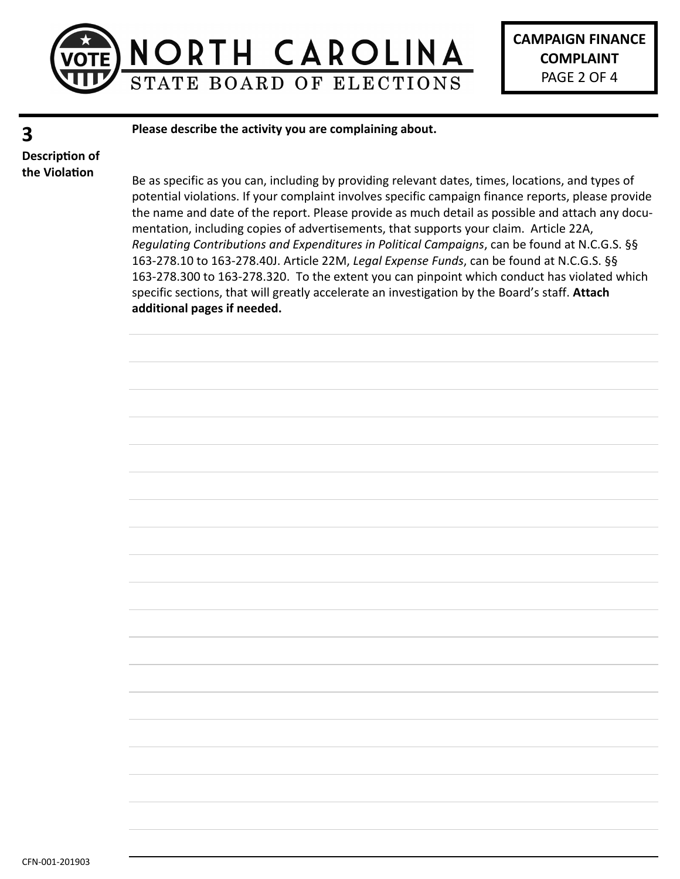

**CAMPAIGN FINANCE COMPLAINT** PAGE 2 OF 4

## **3**

**Please describe the activity you are complaining about.**

**Description of the Violation**

Be as specific as you can, including by providing relevant dates, times, locations, and types of potential violations. If your complaint involves specific campaign finance reports, please provide the name and date of the report. Please provide as much detail as possible and attach any documentation, including copies of advertisements, that supports your claim. Article 22A, *Regulating Contributions and Expenditures in Political Campaigns*, can be found at N.C.G.S. §§ 163-278.10 to 163-278.40J. Article 22M, *Legal Expense Funds*, can be found at N.C.G.S. §§ 163-278.300 to 163-278.320. To the extent you can pinpoint which conduct has violated which specific sections, that will greatly accelerate an investigation by the Board's staff. **Attach additional pages if needed.**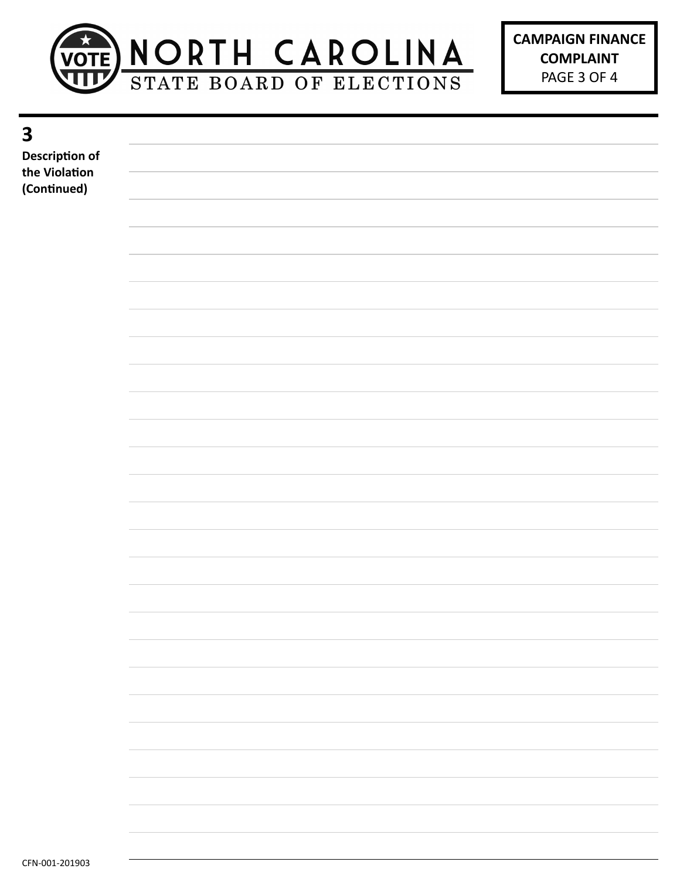

| Description of |                                                                                   |
|----------------|-----------------------------------------------------------------------------------|
| the Violation  |                                                                                   |
|                |                                                                                   |
| (Continued)    |                                                                                   |
|                |                                                                                   |
|                |                                                                                   |
|                |                                                                                   |
|                |                                                                                   |
|                |                                                                                   |
|                |                                                                                   |
|                |                                                                                   |
|                |                                                                                   |
|                |                                                                                   |
|                |                                                                                   |
|                |                                                                                   |
|                |                                                                                   |
|                |                                                                                   |
|                |                                                                                   |
|                |                                                                                   |
|                |                                                                                   |
|                |                                                                                   |
|                |                                                                                   |
|                |                                                                                   |
|                |                                                                                   |
|                |                                                                                   |
|                |                                                                                   |
|                |                                                                                   |
|                |                                                                                   |
|                |                                                                                   |
|                |                                                                                   |
|                |                                                                                   |
|                |                                                                                   |
|                |                                                                                   |
|                |                                                                                   |
|                |                                                                                   |
|                |                                                                                   |
|                |                                                                                   |
|                |                                                                                   |
|                |                                                                                   |
|                |                                                                                   |
|                |                                                                                   |
|                |                                                                                   |
|                |                                                                                   |
|                |                                                                                   |
|                |                                                                                   |
|                |                                                                                   |
|                |                                                                                   |
|                |                                                                                   |
|                |                                                                                   |
|                |                                                                                   |
|                |                                                                                   |
|                | $\sim$                                                                            |
|                |                                                                                   |
|                |                                                                                   |
|                |                                                                                   |
|                |                                                                                   |
|                | ,一个人的人都是一个人的人,我们就是一个人的人,我们就是一个人的人,我们就是一个人的人,我们就是一个人的人,我们就是一个人的人,我们就是一个人的人,我们就是一个人 |
|                |                                                                                   |
|                |                                                                                   |
|                |                                                                                   |
|                |                                                                                   |
|                |                                                                                   |
|                |                                                                                   |
|                |                                                                                   |
|                |                                                                                   |

**3**